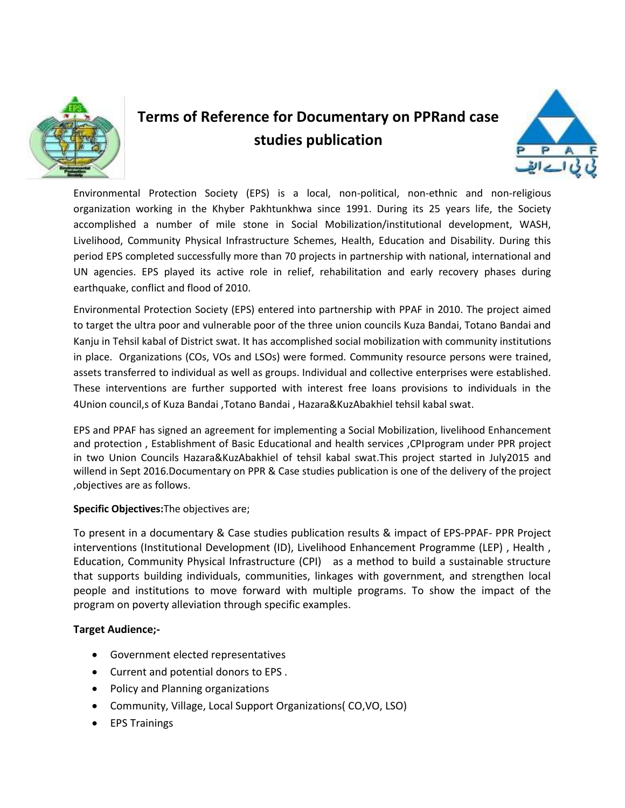

# **Terms of Reference for Documentary on PPRand case studies publication**



Environmental Protection Society (EPS) is a local, non-political, non-ethnic and non-religious organization working in the Khyber Pakhtunkhwa since 1991. During its 25 years life, the Society accomplished a number of mile stone in Social Mobilization/institutional development, WASH, Livelihood, Community Physical Infrastructure Schemes, Health, Education and Disability. During this period EPS completed successfully more than 70 projects in partnership with national, international and UN agencies. EPS played its active role in relief, rehabilitation and early recovery phases during earthquake, conflict and flood of 2010.

Environmental Protection Society (EPS) entered into partnership with PPAF in 2010. The project aimed to target the ultra poor and vulnerable poor of the three union councils Kuza Bandai, Totano Bandai and Kanju in Tehsil kabal of District swat. It has accomplished social mobilization with community institutions in place. Organizations (COs, VOs and LSOs) were formed. Community resource persons were trained, assets transferred to individual as well as groups. Individual and collective enterprises were established. These interventions are further supported with interest free loans provisions to individuals in the 4Union council,s of Kuza Bandai ,Totano Bandai , Hazara&KuzAbakhiel tehsil kabal swat.

EPS and PPAF has signed an agreement for implementing a Social Mobilization, livelihood Enhancement and protection , Establishment of Basic Educational and health services ,CPIprogram under PPR project in two Union Councils Hazara&KuzAbakhiel of tehsil kabal swat.This project started in July2015 and willend in Sept 2016.Documentary on PPR & Case studies publication is one of the delivery of the project ,objectives are as follows.

## **Specific Objectives:**The objectives are;

To present in a documentary & Case studies publication results & impact of EPS-PPAF- PPR Project interventions (Institutional Development (ID), Livelihood Enhancement Programme (LEP) , Health , Education, Community Physical Infrastructure (CPI) as a method to build a sustainable structure that supports building individuals, communities, linkages with government, and strengthen local people and institutions to move forward with multiple programs. To show the impact of the program on poverty alleviation through specific examples.

## **Target Audience;-**

- Government elected representatives
- Current and potential donors to EPS .
- Policy and Planning organizations
- Community, Village, Local Support Organizations( CO,VO, LSO)
- EPS Trainings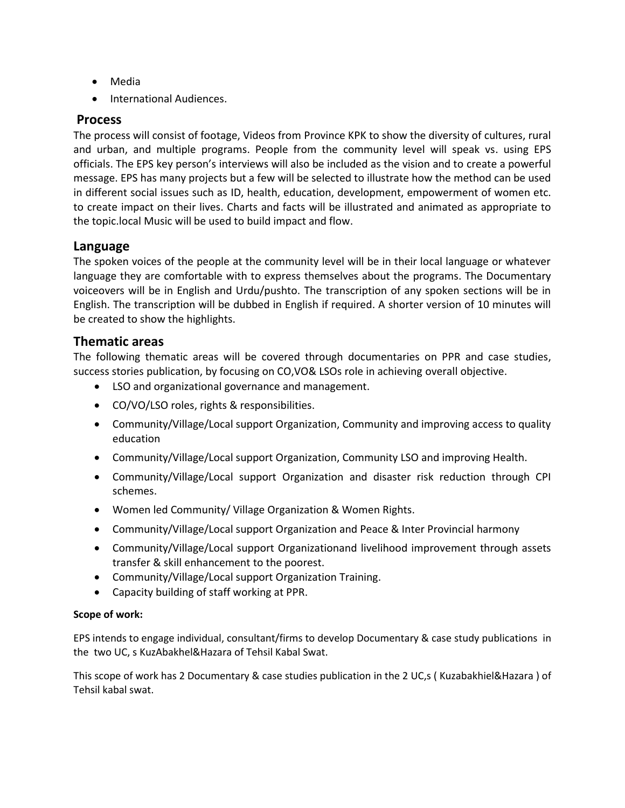- Media
- **•** International Audiences.

## **Process**

The process will consist of footage, Videos from Province KPK to show the diversity of cultures, rural and urban, and multiple programs. People from the community level will speak vs. using EPS officials. The EPS key person's interviews will also be included as the vision and to create a powerful message. EPS has many projects but a few will be selected to illustrate how the method can be used in different social issues such as ID, health, education, development, empowerment of women etc. to create impact on their lives. Charts and facts will be illustrated and animated as appropriate to the topic.local Music will be used to build impact and flow.

## **Language**

The spoken voices of the people at the community level will be in their local language or whatever language they are comfortable with to express themselves about the programs. The Documentary voiceovers will be in English and Urdu/pushto. The transcription of any spoken sections will be in English. The transcription will be dubbed in English if required. A shorter version of 10 minutes will be created to show the highlights.

## **Thematic areas**

The following thematic areas will be covered through documentaries on PPR and case studies, success stories publication, by focusing on CO,VO& LSOs role in achieving overall objective.

- LSO and organizational governance and management.
- CO/VO/LSO roles, rights & responsibilities.
- Community/Village/Local support Organization, Community and improving access to quality education
- Community/Village/Local support Organization, Community LSO and improving Health.
- Community/Village/Local support Organization and disaster risk reduction through CPI schemes.
- Women led Community/ Village Organization & Women Rights.
- Community/Village/Local support Organization and Peace & Inter Provincial harmony
- Community/Village/Local support Organizationand livelihood improvement through assets transfer & skill enhancement to the poorest.
- Community/Village/Local support Organization Training.
- Capacity building of staff working at PPR.

## **Scope of work:**

EPS intends to engage individual, consultant/firms to develop Documentary & case study publications in the two UC, s KuzAbakhel&Hazara of Tehsil Kabal Swat.

This scope of work has 2 Documentary & case studies publication in the 2 UC,s ( Kuzabakhiel&Hazara ) of Tehsil kabal swat.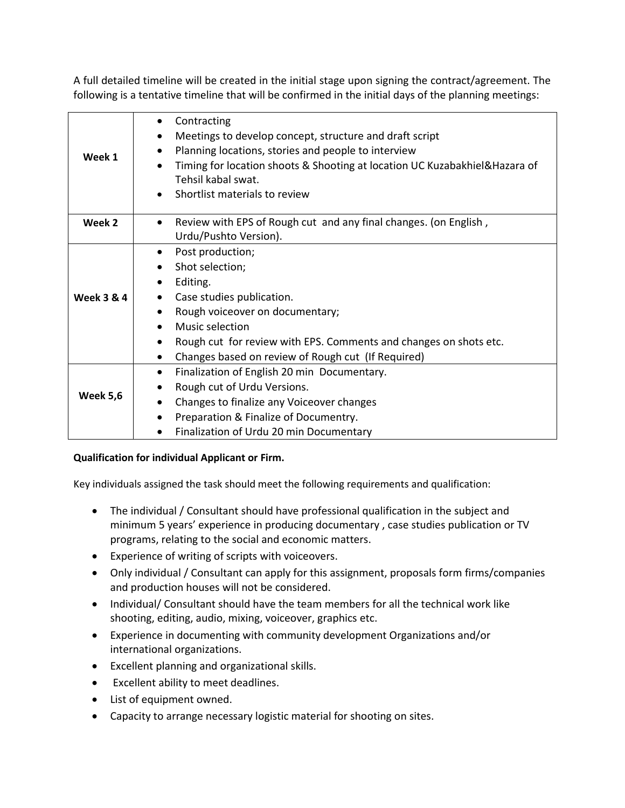A full detailed timeline will be created in the initial stage upon signing the contract/agreement. The following is a tentative timeline that will be confirmed in the initial days of the planning meetings:

| Week 1                | Contracting                                                                    |
|-----------------------|--------------------------------------------------------------------------------|
|                       | Meetings to develop concept, structure and draft script<br>$\bullet$           |
|                       | Planning locations, stories and people to interview                            |
|                       | Timing for location shoots & Shooting at location UC Kuzabakhiel& Hazara of    |
|                       | Tehsil kabal swat.                                                             |
|                       | Shortlist materials to review                                                  |
| Week 2                | Review with EPS of Rough cut and any final changes. (on English,               |
|                       | Urdu/Pushto Version).                                                          |
| <b>Week 3 &amp; 4</b> | Post production;                                                               |
|                       | Shot selection;                                                                |
|                       | Editing.                                                                       |
|                       | Case studies publication.                                                      |
|                       | Rough voiceover on documentary;<br>$\bullet$                                   |
|                       | Music selection                                                                |
|                       | Rough cut for review with EPS. Comments and changes on shots etc.<br>$\bullet$ |
|                       | Changes based on review of Rough cut (If Required)<br>$\bullet$                |
| <b>Week 5,6</b>       | Finalization of English 20 min Documentary.<br>$\bullet$                       |
|                       | Rough cut of Urdu Versions.                                                    |
|                       | Changes to finalize any Voiceover changes<br>٠                                 |
|                       | Preparation & Finalize of Documentry.                                          |
|                       | Finalization of Urdu 20 min Documentary                                        |

## **Qualification for individual Applicant or Firm.**

Key individuals assigned the task should meet the following requirements and qualification:

- The individual / Consultant should have professional qualification in the subject and minimum 5 years' experience in producing documentary , case studies publication or TV programs, relating to the social and economic matters.
- Experience of writing of scripts with voiceovers.
- Only individual / Consultant can apply for this assignment, proposals form firms/companies and production houses will not be considered.
- Individual/ Consultant should have the team members for all the technical work like shooting, editing, audio, mixing, voiceover, graphics etc.
- Experience in documenting with community development Organizations and/or international organizations.
- Excellent planning and organizational skills.
- Excellent ability to meet deadlines.
- List of equipment owned.
- Capacity to arrange necessary logistic material for shooting on sites.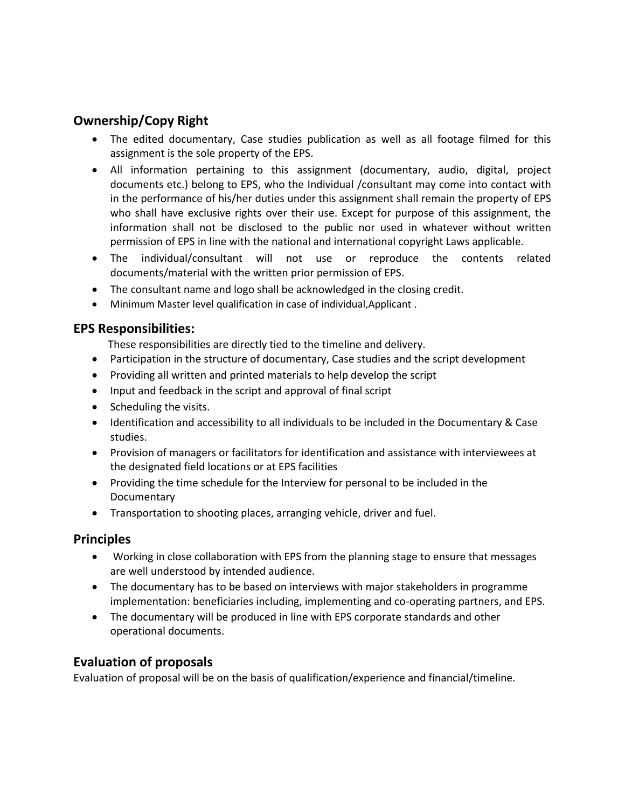# **Ownership/Copy Right**

- The edited documentary, Case studies publication as well as all footage filmed for this assignment is the sole property of the EPS.
- All information pertaining to this assignment (documentary, audio, digital, project documents etc.) belong to EPS, who the Individual /consultant may come into contact with in the performance of his/her duties under this assignment shall remain the property of EPS who shall have exclusive rights over their use. Except for purpose of this assignment, the information shall not be disclosed to the public nor used in whatever without written permission of EPS in line with the national and international copyright Laws applicable.
- The individual/consultant will not use or reproduce the contents related documents/material with the written prior permission of EPS.
- The consultant name and logo shall be acknowledged in the closing credit.
- Minimum Master level qualification in case of individual,Applicant .

# **EPS Responsibilities:**

These responsibilities are directly tied to the timeline and delivery.

- Participation in the structure of documentary, Case studies and the script development
- Providing all written and printed materials to help develop the script
- Input and feedback in the script and approval of final script
- Scheduling the visits.
- Identification and accessibility to all individuals to be included in the Documentary & Case studies.
- Provision of managers or facilitators for identification and assistance with interviewees at the designated field locations or at EPS facilities
- Providing the time schedule for the Interview for personal to be included in the **Documentary**
- Transportation to shooting places, arranging vehicle, driver and fuel.

## **Principles**

- Working in close collaboration with EPS from the planning stage to ensure that messages are well understood by intended audience.
- The documentary has to be based on interviews with major stakeholders in programme implementation: beneficiaries including, implementing and co-operating partners, and EPS.
- The documentary will be produced in line with EPS corporate standards and other operational documents.

# **Evaluation of proposals**

Evaluation of proposal will be on the basis of qualification/experience and financial/timeline.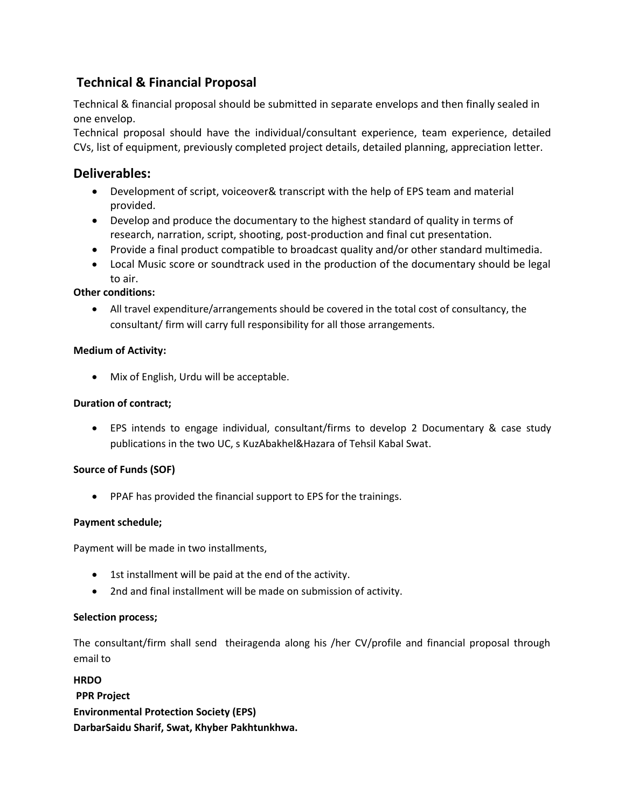# **Technical & Financial Proposal**

Technical & financial proposal should be submitted in separate envelops and then finally sealed in one envelop.

Technical proposal should have the individual/consultant experience, team experience, detailed CVs, list of equipment, previously completed project details, detailed planning, appreciation letter.

## **Deliverables:**

- Development of script, voiceover& transcript with the help of EPS team and material provided.
- Develop and produce the documentary to the highest standard of quality in terms of research, narration, script, shooting, post-production and final cut presentation.
- Provide a final product compatible to broadcast quality and/or other standard multimedia.
- Local Music score or soundtrack used in the production of the documentary should be legal to air.

## **Other conditions:**

 All travel expenditure/arrangements should be covered in the total cost of consultancy, the consultant/ firm will carry full responsibility for all those arrangements.

## **Medium of Activity:**

Mix of English, Urdu will be acceptable.

## **Duration of contract;**

 EPS intends to engage individual, consultant/firms to develop 2 Documentary & case study publications in the two UC, s KuzAbakhel&Hazara of Tehsil Kabal Swat.

## **Source of Funds (SOF)**

PPAF has provided the financial support to EPS for the trainings.

## **Payment schedule;**

Payment will be made in two installments,

- 1st installment will be paid at the end of the activity.
- 2nd and final installment will be made on submission of activity.

## **Selection process;**

The consultant/firm shall send theiragenda along his /her CV/profile and financial proposal through email to

**HRDO PPR Project Environmental Protection Society (EPS) DarbarSaidu Sharif, Swat, Khyber Pakhtunkhwa.**